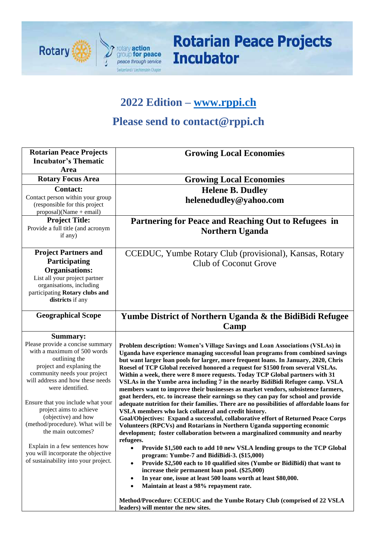

# **Rotarian Peace Projects Incubator**

## **2022 Edition – [www.rppi.ch](http://www.rppi.ch/)**

## **Please send to contact@rppi.ch**

| <b>Rotarian Peace Projects</b><br><b>Incubator's Thematic</b><br>Area                                                                                                                                                                                                                                                                                                                                                                                                                     | <b>Growing Local Economies</b>                                                                                                                                                                                                                                                                                                                                                                                                                                                                                                                                                                                                                                                                                                                                                                                                                                                                                                                                                                                                                                                                                                                                                                                                                                                                                                                                                                                                                                                                                                                                                                                                                            |
|-------------------------------------------------------------------------------------------------------------------------------------------------------------------------------------------------------------------------------------------------------------------------------------------------------------------------------------------------------------------------------------------------------------------------------------------------------------------------------------------|-----------------------------------------------------------------------------------------------------------------------------------------------------------------------------------------------------------------------------------------------------------------------------------------------------------------------------------------------------------------------------------------------------------------------------------------------------------------------------------------------------------------------------------------------------------------------------------------------------------------------------------------------------------------------------------------------------------------------------------------------------------------------------------------------------------------------------------------------------------------------------------------------------------------------------------------------------------------------------------------------------------------------------------------------------------------------------------------------------------------------------------------------------------------------------------------------------------------------------------------------------------------------------------------------------------------------------------------------------------------------------------------------------------------------------------------------------------------------------------------------------------------------------------------------------------------------------------------------------------------------------------------------------------|
| <b>Rotary Focus Area</b>                                                                                                                                                                                                                                                                                                                                                                                                                                                                  | <b>Growing Local Economies</b>                                                                                                                                                                                                                                                                                                                                                                                                                                                                                                                                                                                                                                                                                                                                                                                                                                                                                                                                                                                                                                                                                                                                                                                                                                                                                                                                                                                                                                                                                                                                                                                                                            |
| <b>Contact:</b><br>Contact person within your group<br>(responsible for this project<br>$proposal)(Name + email)$                                                                                                                                                                                                                                                                                                                                                                         | <b>Helene B. Dudley</b><br>helenedudley@yahoo.com                                                                                                                                                                                                                                                                                                                                                                                                                                                                                                                                                                                                                                                                                                                                                                                                                                                                                                                                                                                                                                                                                                                                                                                                                                                                                                                                                                                                                                                                                                                                                                                                         |
| <b>Project Title:</b><br>Provide a full title (and acronym<br>if any)                                                                                                                                                                                                                                                                                                                                                                                                                     | Partnering for Peace and Reaching Out to Refugees in<br><b>Northern Uganda</b>                                                                                                                                                                                                                                                                                                                                                                                                                                                                                                                                                                                                                                                                                                                                                                                                                                                                                                                                                                                                                                                                                                                                                                                                                                                                                                                                                                                                                                                                                                                                                                            |
| <b>Project Partners and</b><br>Participating<br><b>Organisations:</b><br>List all your project partner<br>organisations, including<br>participating Rotary clubs and<br>districts if any                                                                                                                                                                                                                                                                                                  | CCEDUC, Yumbe Rotary Club (provisional), Kansas, Rotary<br><b>Club of Coconut Grove</b>                                                                                                                                                                                                                                                                                                                                                                                                                                                                                                                                                                                                                                                                                                                                                                                                                                                                                                                                                                                                                                                                                                                                                                                                                                                                                                                                                                                                                                                                                                                                                                   |
| <b>Geographical Scope</b>                                                                                                                                                                                                                                                                                                                                                                                                                                                                 | Yumbe District of Northern Uganda & the BidiBidi Refugee<br>Camp                                                                                                                                                                                                                                                                                                                                                                                                                                                                                                                                                                                                                                                                                                                                                                                                                                                                                                                                                                                                                                                                                                                                                                                                                                                                                                                                                                                                                                                                                                                                                                                          |
| <b>Summary:</b><br>Please provide a concise summary<br>with a maximum of 500 words<br>outlining the<br>project and explaning the<br>community needs your project<br>will address and how these needs<br>were identified.<br>Ensure that you include what your<br>project aims to achieve<br>(objective) and how<br>(method/procedure). What will be<br>the main outcomes?<br>Explain in a few sentences how<br>you will incorporate the objective<br>of sustainability into your project. | Problem description: Women's Village Savings and Loan Associations (VSLAs) in<br>Uganda have experience managing successful loan programs from combined savings<br>but want larger loan pools for larger, more frequent loans. In January, 2020, Chris<br>Roesel of TCP Global received honored a request for \$1500 from several VSLAs.<br>Within a week, there were 8 more requests. Today TCP Global partners with 31<br>VSLAs in the Yumbe area including 7 in the nearby BidiBidi Refugee camp. VSLA<br>members want to improve their businesses as market vendors, subsistence farmers,<br>goat herders, etc. to increase their earnings so they can pay for school and provide<br>adequate nutrition for their families. There are no possibilities of affordable loans for<br>VSLA members who lack collateral and credit history.<br>Goal/Objectives: Expand a successful, collaborative effort of Returned Peace Corps<br>Volunteers (RPCVs) and Rotarians in Northern Uganda supporting economic<br>development; foster collaboration between a marginalized community and nearby<br>refugees.<br>Provide \$1,500 each to add 10 new VSLA lending groups to the TCP Global<br>$\bullet$<br>program: Yumbe-7 and BidiBidi-3. (\$15,000)<br>Provide \$2,500 each to 10 qualified sites (Yumbe or BidiBidi) that want to<br>$\bullet$<br>increase their permanent loan pool. (\$25,000)<br>In year one, issue at least 500 loans worth at least \$80,000.<br>$\bullet$<br>Maintain at least a 98% repayment rate.<br>$\bullet$<br>Method/Procedure: CCEDUC and the Yumbe Rotary Club (comprised of 22 VSLA<br>leaders) will mentor the new sites. |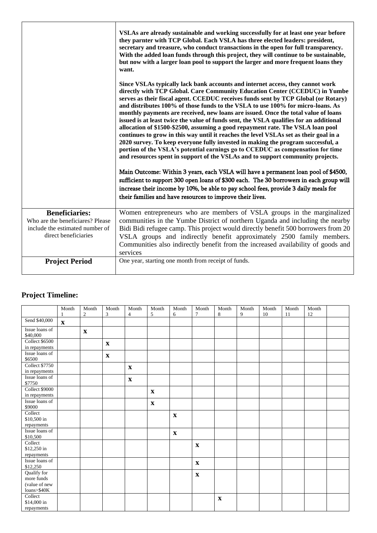|                                                                                                                      | VSLAs are already sustainable and working successfully for at least one year before<br>they parnter with TCP Global. Each VSLA has three elected leaders: president,<br>secretary and treasure, who conduct transactions in the open for full transparency.<br>With the added loan funds through this project, they will continue to be sustainable,<br>but now with a larger loan pool to support the larger and more frequent loans they<br>want.<br>Since VSLAs typically lack bank accounts and internet access, they cannot work<br>directly with TCP Global. Care Community Education Center (CCEDUC) in Yumbe<br>serves as their fiscal agent. CCEDUC receives funds sent by TCP Global (or Rotary)<br>and distributes 100% of those funds to the VSLA to use 100% for micro-loans. As |
|----------------------------------------------------------------------------------------------------------------------|-----------------------------------------------------------------------------------------------------------------------------------------------------------------------------------------------------------------------------------------------------------------------------------------------------------------------------------------------------------------------------------------------------------------------------------------------------------------------------------------------------------------------------------------------------------------------------------------------------------------------------------------------------------------------------------------------------------------------------------------------------------------------------------------------|
|                                                                                                                      | monthly payments are received, new loans are issued. Once the total value of loans<br>issued is at least twice the value of funds sent, the VSLA qualifies for an additional<br>allocation of \$1500-\$2500, assuming a good repayment rate. The VSLA loan pool<br>continues to grow in this way until it reaches the level VSLAs set as their goal in a<br>2020 survey. To keep everyone fully invested in making the program successful, a<br>portion of the VSLA's potential earnings go to CCEDUC as compensation for time<br>and resources spent in support of the VSLAs and to support community projects.                                                                                                                                                                              |
|                                                                                                                      | Main Outcome: Within 3 years, each VSLA will have a permanent loan pool of \$4500,<br>sufficient to support 300 open loans of \$300 each. The 30 borrowers in each group will<br>increase their income by 10%, be able to pay school fees, provide 3 daily meals for<br>their families and have resources to improve their lives.                                                                                                                                                                                                                                                                                                                                                                                                                                                             |
| <b>Beneficiaries:</b><br>Who are the beneficiares? Please<br>include the estimated number of<br>direct beneficiaries | Women entrepreneurs who are members of VSLA groups in the marginalized<br>communities in the Yumbe District of northern Uganda and including the nearby<br>Bidi Bidi refugee camp. This project would directly benefit 500 borrowers from 20<br>VSLA groups and indirectly benefit approximately 2500 family members.<br>Communities also indirectly benefit from the increased availability of goods and<br>services                                                                                                                                                                                                                                                                                                                                                                         |
| <b>Project Period</b>                                                                                                | One year, starting one month from receipt of funds.                                                                                                                                                                                                                                                                                                                                                                                                                                                                                                                                                                                                                                                                                                                                           |

#### **Project Timeline:**

|                                                           | Month<br>1   | Month<br>$\overline{c}$ | Month<br>3   | Month<br>$\overline{4}$ | Month<br>5   | Month<br>6  | Month<br>$\tau$ | Month<br>8  | Month<br>9 | Month<br>10 | Month<br>11 | Month<br>12 |  |
|-----------------------------------------------------------|--------------|-------------------------|--------------|-------------------------|--------------|-------------|-----------------|-------------|------------|-------------|-------------|-------------|--|
| Send \$40,000                                             | $\mathbf{X}$ |                         |              |                         |              |             |                 |             |            |             |             |             |  |
| Issue loans of<br>\$40,000                                |              | $\mathbf X$             |              |                         |              |             |                 |             |            |             |             |             |  |
| Collect \$6500<br>in repayments                           |              |                         | $\mathbf{X}$ |                         |              |             |                 |             |            |             |             |             |  |
| Issue loans of<br>\$6500                                  |              |                         | $\mathbf X$  |                         |              |             |                 |             |            |             |             |             |  |
| <b>Collect \$7750</b><br>in repayments                    |              |                         |              | $\mathbf X$             |              |             |                 |             |            |             |             |             |  |
| Issue loans of<br>\$7750                                  |              |                         |              | $\mathbf X$             |              |             |                 |             |            |             |             |             |  |
| Collect \$9000<br>in repayments                           |              |                         |              |                         | $\mathbf{X}$ |             |                 |             |            |             |             |             |  |
| Issue loans of<br>\$9000                                  |              |                         |              |                         | $\mathbf X$  |             |                 |             |            |             |             |             |  |
| Collect<br>\$10,500 in<br>repayments                      |              |                         |              |                         |              | $\mathbf X$ |                 |             |            |             |             |             |  |
| Issue loans of<br>\$10,500                                |              |                         |              |                         |              | $\mathbf X$ |                 |             |            |             |             |             |  |
| Collect<br>\$12,250 in<br>repayments                      |              |                         |              |                         |              |             | $\mathbf{x}$    |             |            |             |             |             |  |
| Issue loans of<br>\$12,250                                |              |                         |              |                         |              |             | $\mathbf X$     |             |            |             |             |             |  |
| Qualify for<br>more funds<br>(value of new<br>loans>\$40K |              |                         |              |                         |              |             | $\mathbf X$     |             |            |             |             |             |  |
| Collect<br>\$14,000 in<br>repayments                      |              |                         |              |                         |              |             |                 | $\mathbf X$ |            |             |             |             |  |